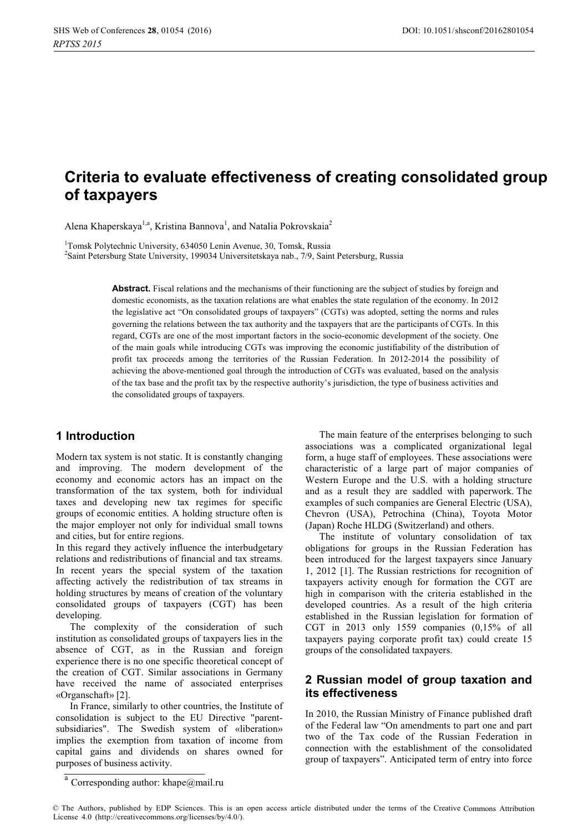# **Criteria to evaluate effectiveness of creating consolidated group of taxpayers**

Alena Khaperskaya<sup>1,a</sup>, Kristina Bannova<sup>1</sup>, and Natalia Pokrovskaia<sup>2</sup>

<sup>1</sup>Tomsk Polytechnic University, 634050 Lenin Avenue, 30, Tomsk, Russia

<sup>2</sup>Saint Petersburg State University, 199034 Universitetskaya nab., 7/9, Saint Petersburg, Russia

**Abstract.** Fiscal relations and the mechanisms of their functioning are the subject of studies by foreign and domestic economists, as the taxation relations are what enables the state regulation of the economy. In 2012 the legislative act "On consolidated groups of taxpayers" (CGTs) was adopted, setting the norms and rules governing the relations between the tax authority and the taxpayers that are the participants of CGTs. In this regard, CGTs are one of the most important factors in the socio-economic development of the society. One of the main goals while introducing CGTs was improving the economic justifiability of the distribution of profit tax proceeds among the territories of the Russian Federation. In 2012-2014 the possibility of achieving the above-mentioned goal through the introduction of CGTs was evaluated, based on the analysis of the tax base and the profit tax by the respective authority's jurisdiction, the type of business activities and the consolidated groups of taxpayers.

#### **1 Introduction**

Modern tax system is not static. It is constantly changing and improving. The modern development of the economy and economic actors has an impact on the transformation of the tax system, both for individual taxes and developing new tax regimes for specific groups of economic entities. A holding structure often is the major employer not only for individual small towns and cities, but for entire regions.

In this regard they actively influence the interbudgetary relations and redistributions of financial and tax streams. In recent years the special system of the taxation affecting actively the redistribution of tax streams in holding structures by means of creation of the voluntary consolidated groups of taxpayers (CGT) has been developing.

The complexity of the consideration of such institution as consolidated groups of taxpayers lies in the absence of CGT, as in the Russian and foreign experience there is no one specific theoretical concept of the creation of CGT. Similar associations in Germany have received the name of associated enterprises «Organschaft» [2].

In France, similarly to other countries, the Institute of consolidation is subject to the EU Directive "parentsubsidiaries". The Swedish system of «liberation» implies the exemption from taxation of income from capital gains and dividends on shares owned for purposes of business activity.

The main feature of the enterprises belonging to such associations was a complicated organizational legal form, a huge staff of employees. These associations were characteristic of a large part of major companies of Western Europe and the U.S. with a holding structure and as a result they are saddled with paperwork. The examples of such companies are General Electric (USA), Chevron (USA), Petrochina (China), Toyota Motor (Japan) Roche HLDG (Switzerland) and others.

The institute of voluntary consolidation of tax obligations for groups in the Russian Federation has been introduced for the largest taxpayers since January 1, 2012 [1]. The Russian restrictions for recognition of taxpayers activity enough for formation the CGT are high in comparison with the criteria established in the developed countries. As a result of the high criteria established in the Russian legislation for formation of CGT in 2013 only 1559 companies (0,15% of all taxpayers paying corporate profit tax) could create 15 groups of the consolidated taxpayers.

#### **2 Russian model of group taxation and its effectiveness**

In 2010, the Russian Ministry of Finance published draft of the Federal law "On amendments to part one and part two of the Tax code of the Russian Federation in connection with the establishment of the consolidated group of taxpayers". Anticipated term of entry into force

 $a$  Corresponding author: [khape@mail.ru](mailto:khape@mail.ru)

<sup>©</sup> The Authors, published by EDP Sciences. This is an open access article distributed under the terms of the Creative Commons Attribution License 4.0 [\(http://creativecommons.org/licenses/by/4.0/\).](http://creativecommons.org/licenses/by/4.0/)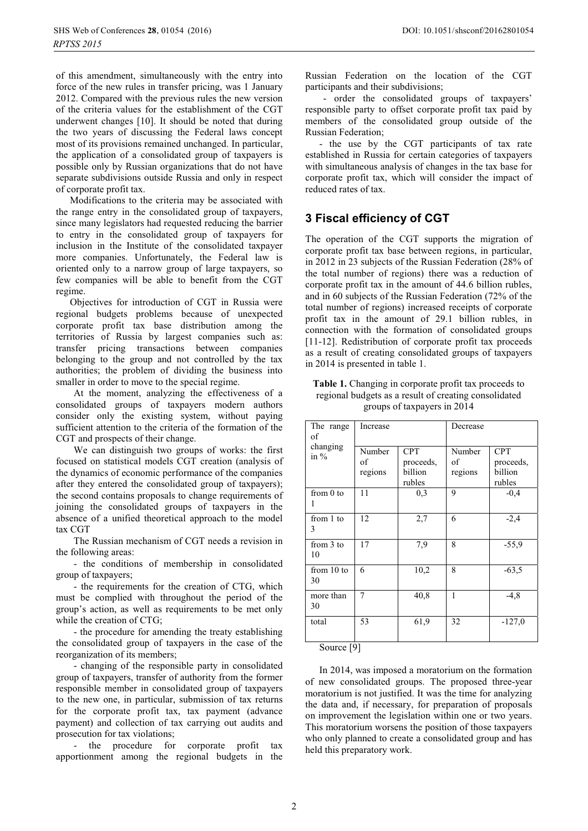of this amendment, simultaneously with the entry into force of the new rules in transfer pricing, was 1 January 2012. Compared with the previous rules the new version of the criteria values for the establishment of the CGT underwent changes [10]. It should be noted that during the two years of discussing the Federal laws concept most of its provisions remained unchanged. In particular, the application of a consolidated group of taxpayers is possible only by Russian organizations that do not have separate subdivisions outside Russia and only in respect of corporate profit tax.

Modifications to the criteria may be associated with the range entry in the consolidated group of taxpayers, since many legislators had requested reducing the barrier to entry in the consolidated group of taxpayers for inclusion in the Institute of the consolidated taxpayer more companies. Unfortunately, the Federal law is oriented only to a narrow group of large taxpayers, so few companies will be able to benefit from the CGT regime.

Objectives for introduction of CGT in Russia were regional budgets problems because of unexpected corporate profit tax base distribution among the territories of Russia by largest companies such as: transfer pricing transactions between companies belonging to the group and not controlled by the tax authorities; the problem of dividing the business into smaller in order to move to the special regime.

At the moment, analyzing the effectiveness of a consolidated groups of taxpayers modern authors consider only the existing system, without paying sufficient attention to the criteria of the formation of the CGT and prospects of their change.

We can distinguish two groups of works: the first focused on statistical models CGT creation (analysis of the dynamics of economic performance of the companies after they entered the consolidated group of taxpayers); the second contains proposals to change requirements of joining the consolidated groups of taxpayers in the absence of a unified theoretical approach to the model tax CGT

The Russian mechanism of CGT needs a revision in the following areas:

- the conditions of membership in consolidated group of taxpayers;

- the requirements for the creation of CTG, which must be complied with throughout the period of the group's action, as well as requirements to be met only while the creation of CTG;

- the procedure for amending the treaty establishing the consolidated group of taxpayers in the case of the reorganization of its members;

- changing of the responsible party in consolidated group of taxpayers, transfer of authority from the former responsible member in consolidated group of taxpayers to the new one, in particular, submission of tax returns for the corporate profit tax, tax payment (advance payment) and collection of tax carrying out audits and prosecution for tax violations;

- the procedure for corporate profit tax apportionment among the regional budgets in the

Russian Federation on the location of the CGT participants and their subdivisions;

- order the consolidated groups of taxpayers' responsible party to offset corporate profit tax paid by members of the consolidated group outside of the Russian Federation;

- the use by the CGT participants of tax rate established in Russia for certain categories of taxpayers with simultaneous analysis of changes in the tax base for corporate profit tax, which will consider the impact of reduced rates of tax.

## **3 Fiscal efficiency of CGT**

The operation of the CGT supports the migration of corporate profit tax base between regions, in particular, in 2012 in 23 subjects of the Russian Federation (28% of the total number of regions) there was a reduction of corporate profit tax in the amount of 44.6 billion rubles, and in 60 subjects of the Russian Federation (72% of the total number of regions) increased receipts of corporate profit tax in the amount of 29.1 billion rubles, in connection with the formation of consolidated groups [11-12]. Redistribution of corporate profit tax proceeds as a result of creating consolidated groups of taxpayers in 2014 is presented in table 1.

| Table 1. Changing in corporate profit tax proceeds to |
|-------------------------------------------------------|
| regional budgets as a result of creating consolidated |
| groups of taxpayers in 2014                           |

| The range<br>of<br>changing<br>in $\%$ | Increase                |                                              | Decrease                |                                              |
|----------------------------------------|-------------------------|----------------------------------------------|-------------------------|----------------------------------------------|
|                                        | Number<br>of<br>regions | <b>CPT</b><br>proceeds,<br>billion<br>rubles | Number<br>of<br>regions | <b>CPT</b><br>proceeds,<br>billion<br>rubles |
| from $0$ to<br>1                       | 11                      | 0,3                                          | 9                       | $-0.4$                                       |
| from 1 to<br>3                         | 12                      | 2,7                                          | 6                       | $-2,4$                                       |
| from 3 to<br>10                        | 17                      | 7,9                                          | 8                       | $-55,9$                                      |
| from 10 to<br>30                       | 6                       | 10,2                                         | 8                       | $-63,5$                                      |
| more than<br>30                        | 7                       | 40,8                                         | 1                       | $-4,8$                                       |
| total<br>$\sim$                        | 53<br><b>COJ</b>        | 61,9                                         | 32                      | $-127,0$                                     |

Source [9]

In 2014, was imposed a moratorium on the formation of new consolidated groups. The proposed three-year moratorium is not justified. It was the time for analyzing the data and, if necessary, for preparation of proposals on improvement the legislation within one or two years. This moratorium worsens the position of those taxpayers who only planned to create a consolidated group and has held this preparatory work.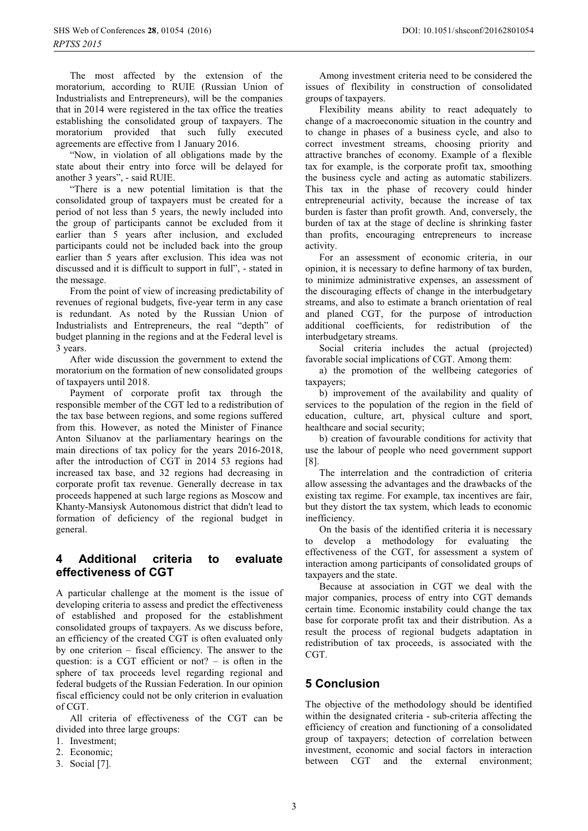The most affected by the extension of the moratorium, according to RUIE (Russian Union of Industrialists and Entrepreneurs), will be the companies that in 2014 were registered in the tax office the treaties establishing the consolidated group of taxpayers. The moratorium provided that such fully executed agreements are effective from 1 January 2016.

"Now, in violation of all obligations made by the state about their entry into force will be delayed for another 3 years", - said RUIE.

"There is a new potential limitation is that the consolidated group of taxpayers must be created for a period of not less than 5 years, the newly included into the group of participants cannot be excluded from it earlier than 5 years after inclusion, and excluded participants could not be included back into the group earlier than 5 years after exclusion. This idea was not discussed and it is difficult to support in full", - stated in the message.

From the point of view of increasing predictability of revenues of regional budgets, five-year term in any case is redundant. As noted by the Russian Union of Industrialists and Entrepreneurs, the real "depth" of budget planning in the regions and at the Federal level is 3 years.

After wide discussion the government to extend the moratorium on the formation of new consolidated groups of taxpayers until 2018.

Payment of corporate profit tax through the responsible member of the CGT led to a redistribution of the tax base between regions, and some regions suffered from this. However, as noted the Minister of Finance Anton Siluanov at the parliamentary hearings on the main directions of tax policy for the years 2016-2018, after the introduction of CGT in 2014 53 regions had increased tax base, and 32 regions had decreasing in corporate profit tax revenue. Generally decrease in tax proceeds happened at such large regions as Moscow and Khanty-Mansiysk Autonomous district that didn't lead to formation of deficiency of the regional budget in general.

#### **4 Additional criteria to evaluate effectiveness of CGT**

A particular challenge at the moment is the issue of developing criteria to assess and predict the effectiveness of established and proposed for the establishment consolidated groups of taxpayers. As we discuss before, an efficiency of the created CGT is often evaluated only by one criterion – fiscal efficiency. The answer to the question: is a CGT efficient or not? – is often in the sphere of tax proceeds level regarding regional and federal budgets of the Russian Federation. In our opinion fiscal efficiency could not be only criterion in evaluation of CGT.

All criteria of effectiveness of the CGT can be divided into three large groups:

- 1. Investment;
- 2. Economic;
- 3. Social [7].

Among investment criteria need to be considered the issues of flexibility in construction of consolidated groups of taxpayers.

Flexibility means ability to react adequately to change of a macroeconomic situation in the country and to change in phases of a business cycle, and also to correct investment streams, choosing priority and attractive branches of economy. Example of a flexible tax for example, is the corporate profit tax, smoothing the business cycle and acting as automatic stabilizers. This tax in the phase of recovery could hinder entrepreneurial activity, because the increase of tax burden is faster than profit growth. And, conversely, the burden of tax at the stage of decline is shrinking faster than profits, encouraging entrepreneurs to increase activity.

For an assessment of economic criteria, in our opinion, it is necessary to define harmony of tax burden, to minimize administrative expenses, an assessment of the discouraging effects of change in the interbudgetary streams, and also to estimate a branch orientation of real and planed CGT, for the purpose of introduction additional coefficients, for redistribution of the interbudgetary streams.

Social criteria includes the actual (projected) favorable social implications of CGT. Among them:

a) the promotion of the wellbeing categories of taxpayers;

b) improvement of the availability and quality of services to the population of the region in the field of education, culture, art, physical culture and sport, healthcare and social security;

b) creation of favourable conditions for activity that use the labour of people who need government support [8].

The interrelation and the contradiction of criteria allow assessing the advantages and the drawbacks of the existing tax regime. For example, tax incentives are fair, but they distort the tax system, which leads to economic inefficiency.

On the basis of the identified criteria it is necessary to develop a methodology for evaluating the effectiveness of the CGT, for assessment a system of interaction among participants of consolidated groups of taxpayers and the state.

Because at association in CGT we deal with the major companies, process of entry into CGT demands certain time. Economic instability could change the tax base for corporate profit tax and their distribution. As a result the process of regional budgets adaptation in redistribution of tax proceeds, is associated with the CGT.

# **5 Conclusion**

The objective of the methodology should be identified within the designated criteria - sub-criteria affecting the efficiency of creation and functioning of a consolidated group of taxpayers; detection of correlation between investment, economic and social factors in interaction between CGT and the external environment;